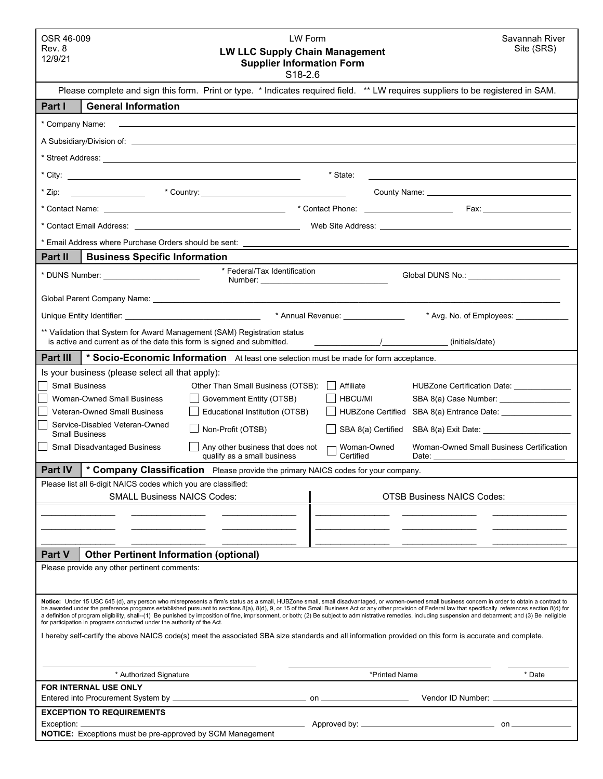| OSR 46-009<br>LW Form<br>Savannah River<br>Site (SRS)<br>Rev. 8<br><b>LW LLC Supply Chain Management</b><br>12/9/21<br><b>Supplier Information Form</b><br>S18-2.6                                                                                                                                                                                                                                                                                                                                                                                                                                                                  |                                                                                                                                                                                                                                                            |
|-------------------------------------------------------------------------------------------------------------------------------------------------------------------------------------------------------------------------------------------------------------------------------------------------------------------------------------------------------------------------------------------------------------------------------------------------------------------------------------------------------------------------------------------------------------------------------------------------------------------------------------|------------------------------------------------------------------------------------------------------------------------------------------------------------------------------------------------------------------------------------------------------------|
|                                                                                                                                                                                                                                                                                                                                                                                                                                                                                                                                                                                                                                     | Please complete and sign this form. Print or type. * Indicates required field. ** LW requires suppliers to be registered in SAM.                                                                                                                           |
| <b>General Information</b><br>Part I                                                                                                                                                                                                                                                                                                                                                                                                                                                                                                                                                                                                |                                                                                                                                                                                                                                                            |
| * Company Name:<br>,我们也不能在这里的时候,我们也不能在这里的时候,我们也不能会在这里的时候,我们也不能会在这里的时候,我们也不能会在这里的时候,我们也不能会在这里的时候,我们也                                                                                                                                                                                                                                                                                                                                                                                                                                                                                                                                 |                                                                                                                                                                                                                                                            |
|                                                                                                                                                                                                                                                                                                                                                                                                                                                                                                                                                                                                                                     |                                                                                                                                                                                                                                                            |
|                                                                                                                                                                                                                                                                                                                                                                                                                                                                                                                                                                                                                                     |                                                                                                                                                                                                                                                            |
|                                                                                                                                                                                                                                                                                                                                                                                                                                                                                                                                                                                                                                     | * State:<br><u>and the state of the state of the state of the state of the state of the state of the state of the state of th</u>                                                                                                                          |
| * Zip:                                                                                                                                                                                                                                                                                                                                                                                                                                                                                                                                                                                                                              |                                                                                                                                                                                                                                                            |
|                                                                                                                                                                                                                                                                                                                                                                                                                                                                                                                                                                                                                                     |                                                                                                                                                                                                                                                            |
|                                                                                                                                                                                                                                                                                                                                                                                                                                                                                                                                                                                                                                     |                                                                                                                                                                                                                                                            |
|                                                                                                                                                                                                                                                                                                                                                                                                                                                                                                                                                                                                                                     |                                                                                                                                                                                                                                                            |
| <b>Business Specific Information</b><br><b>Part II</b>                                                                                                                                                                                                                                                                                                                                                                                                                                                                                                                                                                              |                                                                                                                                                                                                                                                            |
| * Federal/Tax Identification<br>* DUNS Number: ________________________                                                                                                                                                                                                                                                                                                                                                                                                                                                                                                                                                             | Global DUNS No.: ______________________                                                                                                                                                                                                                    |
|                                                                                                                                                                                                                                                                                                                                                                                                                                                                                                                                                                                                                                     |                                                                                                                                                                                                                                                            |
|                                                                                                                                                                                                                                                                                                                                                                                                                                                                                                                                                                                                                                     | * Avg. No. of Employees: _____________                                                                                                                                                                                                                     |
| ** Validation that System for Award Management (SAM) Registration status<br>is active and current as of the date this form is signed and submitted.                                                                                                                                                                                                                                                                                                                                                                                                                                                                                 | $\sqrt{2\pi/(\text{initial})}$ (initials/date)                                                                                                                                                                                                             |
| Part III<br>* Socio-Economic Information At least one selection must be made for form acceptance.                                                                                                                                                                                                                                                                                                                                                                                                                                                                                                                                   |                                                                                                                                                                                                                                                            |
| Is your business (please select all that apply):                                                                                                                                                                                                                                                                                                                                                                                                                                                                                                                                                                                    |                                                                                                                                                                                                                                                            |
| <b>Small Business</b><br>Other Than Small Business (OTSB):                                                                                                                                                                                                                                                                                                                                                                                                                                                                                                                                                                          | Affiliate<br>HUBZone Certification Date: ______________                                                                                                                                                                                                    |
| Government Entity (OTSB)<br><b>Woman-Owned Small Business</b>                                                                                                                                                                                                                                                                                                                                                                                                                                                                                                                                                                       | <b>HBCU/MI</b><br>SBA 8(a) Case Number: _________________                                                                                                                                                                                                  |
| Educational Institution (OTSB)<br><b>Veteran-Owned Small Business</b><br>Service-Disabled Veteran-Owned                                                                                                                                                                                                                                                                                                                                                                                                                                                                                                                             | HUBZone Certified SBA 8(a) Entrance Date: _______________                                                                                                                                                                                                  |
| Non-Profit (OTSB)<br><b>Small Business</b>                                                                                                                                                                                                                                                                                                                                                                                                                                                                                                                                                                                          | SBA 8(a) Certified<br>SBA 8(a) Exit Date: <u>contract and the set of the set of the set of the set of the set of the set of the set of the set of the set of the set of the set of the set of the set of the set of the set of the set of the set of t</u> |
| <b>Small Disadvantaged Business</b><br>Any other business that does not<br>qualify as a small business                                                                                                                                                                                                                                                                                                                                                                                                                                                                                                                              | Woman-Owned Small Business Certification<br>Woman-Owned<br>Certified<br>Date:                                                                                                                                                                              |
| Part IV   * Company Classification  Please provide the primary NAICS codes for your company.                                                                                                                                                                                                                                                                                                                                                                                                                                                                                                                                        |                                                                                                                                                                                                                                                            |
| Please list all 6-digit NAICS codes which you are classified:<br><b>SMALL Business NAICS Codes:</b>                                                                                                                                                                                                                                                                                                                                                                                                                                                                                                                                 | <b>OTSB Business NAICS Codes:</b>                                                                                                                                                                                                                          |
|                                                                                                                                                                                                                                                                                                                                                                                                                                                                                                                                                                                                                                     |                                                                                                                                                                                                                                                            |
|                                                                                                                                                                                                                                                                                                                                                                                                                                                                                                                                                                                                                                     |                                                                                                                                                                                                                                                            |
|                                                                                                                                                                                                                                                                                                                                                                                                                                                                                                                                                                                                                                     |                                                                                                                                                                                                                                                            |
| <b>Other Pertinent Information (optional)</b><br><b>Part V</b>                                                                                                                                                                                                                                                                                                                                                                                                                                                                                                                                                                      |                                                                                                                                                                                                                                                            |
| Please provide any other pertinent comments:                                                                                                                                                                                                                                                                                                                                                                                                                                                                                                                                                                                        |                                                                                                                                                                                                                                                            |
|                                                                                                                                                                                                                                                                                                                                                                                                                                                                                                                                                                                                                                     |                                                                                                                                                                                                                                                            |
| Notice: Under 15 USC 645 (d), any person who misrepresents a firm's status as a small, HUBZone small, small disadvantaged, or women-owned small business concern in order to obtain a contract to<br>be awarded under the preference programs established pursuant to sections 8(a), 8(d), 9, or 15 of the Small Business Act or any other provision of Federal law that specifically references section 8(d) for<br>a definition of program eligibility, shall--(1) Be punished by imposition of fine, imprisonment, or both; (2) Be subject to administrative remedies, including suspension and debarment; and (3) Be ineligible |                                                                                                                                                                                                                                                            |
| for participation in programs conducted under the authority of the Act.<br>I hereby self-certify the above NAICS code(s) meet the associated SBA size standards and all information provided on this form is accurate and complete.                                                                                                                                                                                                                                                                                                                                                                                                 |                                                                                                                                                                                                                                                            |
|                                                                                                                                                                                                                                                                                                                                                                                                                                                                                                                                                                                                                                     |                                                                                                                                                                                                                                                            |
| * Authorized Signature                                                                                                                                                                                                                                                                                                                                                                                                                                                                                                                                                                                                              | *Printed Name<br>* Date                                                                                                                                                                                                                                    |
| FOR INTERNAL USE ONLY                                                                                                                                                                                                                                                                                                                                                                                                                                                                                                                                                                                                               |                                                                                                                                                                                                                                                            |
|                                                                                                                                                                                                                                                                                                                                                                                                                                                                                                                                                                                                                                     | Vendor ID Number: _____________________                                                                                                                                                                                                                    |
| <b>EXCEPTION TO REQUIREMENTS</b><br>Exception:                                                                                                                                                                                                                                                                                                                                                                                                                                                                                                                                                                                      |                                                                                                                                                                                                                                                            |
| <b>NOTICE:</b> Exceptions must be pre-approved by SCM Management                                                                                                                                                                                                                                                                                                                                                                                                                                                                                                                                                                    |                                                                                                                                                                                                                                                            |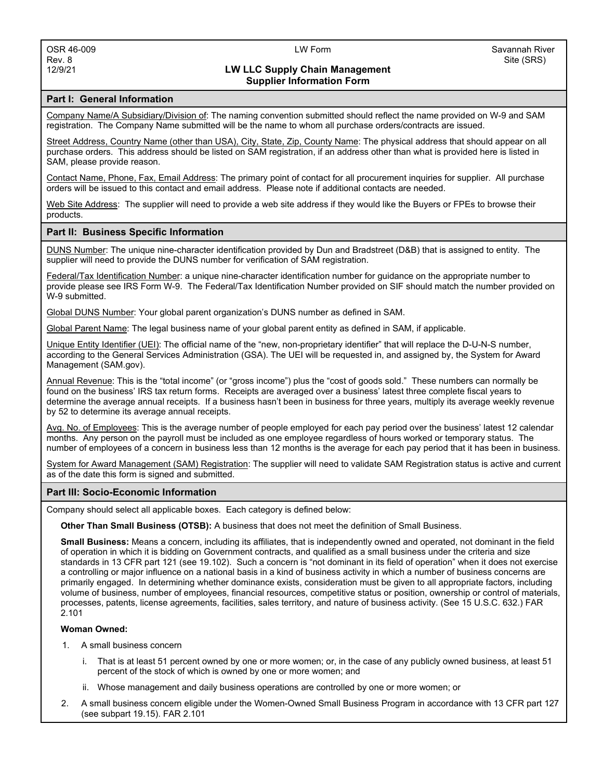# **LW LLC Supply Chain Management Supplier Information Form**

### **Part I: General Information**

Company Name/A Subsidiary/Division of: The naming convention submitted should reflect the name provided on W-9 and SAM registration. The Company Name submitted will be the name to whom all purchase orders/contracts are issued.

Street Address, Country Name (other than USA), City, State, Zip, County Name: The physical address that should appear on all purchase orders. This address should be listed on SAM registration, if an address other than what is provided here is listed in SAM, please provide reason.

Contact Name, Phone, Fax, Email Address: The primary point of contact for all procurement inquiries for supplier. All purchase orders will be issued to this contact and email address. Please note if additional contacts are needed.

Web Site Address: The supplier will need to provide a web site address if they would like the Buyers or FPEs to browse their products.

### **Part II: Business Specific Information**

DUNS Number: The unique nine-character identification provided by Dun and Bradstreet (D&B) that is assigned to entity. The supplier will need to provide the DUNS number for verification of SAM registration.

Federal/Tax Identification Number: a unique nine-character identification number for guidance on the appropriate number to provide please see IRS Form W-9. The Federal/Tax Identification Number provided on SIF should match the number provided on W-9 submitted.

Global DUNS Number: Your global parent organization's DUNS number as defined in SAM.

Global Parent Name: The legal business name of your global parent entity as defined in SAM, if applicable.

Unique Entity Identifier (UEI): The official name of the "new, non-proprietary identifier" that will replace the D-U-N-S number, according to the General Services Administration (GSA). The UEI will be requested in, and assigned by, the System for Award Management (SAM.gov).

Annual Revenue: This is the "total income" (or "gross income") plus the "cost of goods sold." These numbers can normally be found on the business' IRS tax return forms. Receipts are averaged over a business' latest three complete fiscal years to determine the average annual receipts. If a business hasn't been in business for three years, multiply its average weekly revenue by 52 to determine its average annual receipts.

Avg. No. of Employees: This is the average number of people employed for each pay period over the business' latest 12 calendar months. Any person on the payroll must be included as one employee regardless of hours worked or temporary status. The number of employees of a concern in business less than 12 months is the average for each pay period that it has been in business.

System for Award Management (SAM) Registration: The supplier will need to validate SAM Registration status is active and current as of the date this form is signed and submitted.

### **Part III: Socio-Economic Information**

Company should select all applicable boxes. Each category is defined below:

**Other Than Small Business (OTSB):** A business that does not meet the definition of Small Business.

**Small Business:** Means a concern, including its affiliates, that is independently owned and operated, not dominant in the field of operation in which it is bidding on Government contracts, and qualified as a small business under the criteria and size standards in 13 CFR part 121 (see 19.102). Such a concern is "not dominant in its field of operation" when it does not exercise a controlling or major influence on a national basis in a kind of business activity in which a number of business concerns are primarily engaged. In determining whether dominance exists, consideration must be given to all appropriate factors, including volume of business, number of employees, financial resources, competitive status or position, ownership or control of materials, processes, patents, license agreements, facilities, sales territory, and nature of business activity. (See 15 U.S.C. 632.) FAR 2.101

### **Woman Owned:**

- 1. A small business concern
	- i. That is at least 51 percent owned by one or more women; or, in the case of any publicly owned business, at least 51 percent of the stock of which is owned by one or more women; and
	- ii. Whose management and daily business operations are controlled by one or more women; or
- 2. A small business concern eligible under the Women-Owned Small Business Program in accordance with 13 CFR part 127 (see subpart 19.15). FAR 2.101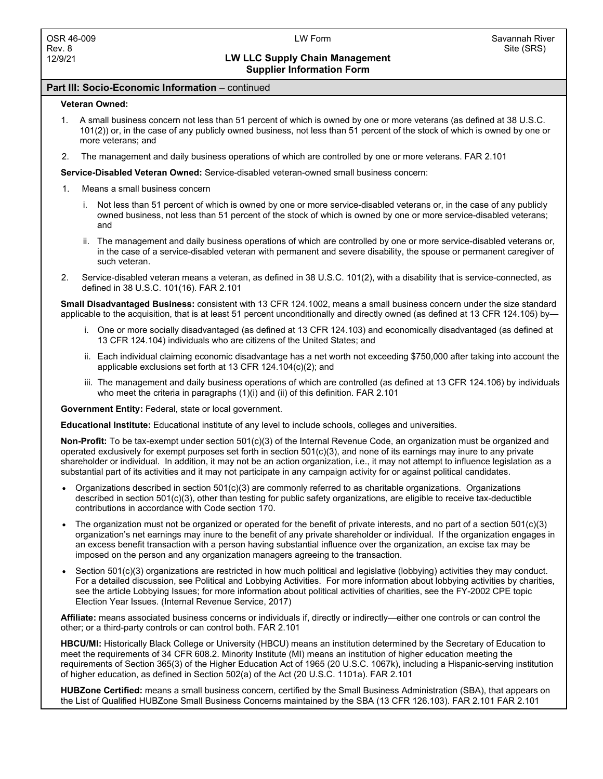# **LW LLC Supply Chain Management Supplier Information Form**

## **Part III: Socio-Economic Information** – continued

### **Veteran Owned:**

- 1. A small business concern not less than 51 percent of which is owned by one or more veterans (as defined at 38 U.S.C. 101(2)) or, in the case of any publicly owned business, not less than 51 percent of the stock of which is owned by one or more veterans; and
- 2. The management and daily business operations of which are controlled by one or more veterans. FAR 2.101

**Service-Disabled Veteran Owned:** Service-disabled veteran-owned small business concern:

- 1. Means a small business concern
	- i. Not less than 51 percent of which is owned by one or more service-disabled veterans or, in the case of any publicly owned business, not less than 51 percent of the stock of which is owned by one or more service-disabled veterans; and
	- ii. The management and daily business operations of which are controlled by one or more service-disabled veterans or, in the case of a service-disabled veteran with permanent and severe disability, the spouse or permanent caregiver of such veteran.
- 2. Service-disabled veteran means a veteran, as defined in 38 U.S.C. 101(2), with a disability that is service-connected, as defined in 38 U.S.C. 101(16). FAR 2.101

**Small Disadvantaged Business:** consistent with 13 CFR 124.1002, means a small business concern under the size standard applicable to the acquisition, that is at least 51 percent unconditionally and directly owned (as defined at 13 CFR 124.105) by–

- i. One or more socially disadvantaged (as defined at 13 CFR 124.103) and economically disadvantaged (as defined at 13 CFR 124.104) individuals who are citizens of the United States; and
- ii. Each individual claiming economic disadvantage has a net worth not exceeding \$750,000 after taking into account the applicable exclusions set forth at 13 CFR 124.104(c)(2); and
- iii. The management and daily business operations of which are controlled (as defined at 13 CFR 124.106) by individuals who meet the criteria in paragraphs (1)(i) and (ii) of this definition. FAR 2.101

**Government Entity:** Federal, state or local government.

**Educational Institute:** Educational institute of any level to include schools, colleges and universities.

**Non-Profit:** To be tax-exempt under section 501(c)(3) of the Internal Revenue Code, an organization must be organized and operated exclusively for exempt purposes set forth in section 501(c)(3), and none of its earnings may inure to any private shareholder or individual. In addition, it may not be an action organization, i.e., it may not attempt to influence legislation as a substantial part of its activities and it may not participate in any campaign activity for or against political candidates.

- Organizations described in section  $501(c)(3)$  are commonly referred to as charitable organizations. Organizations described in section 501(c)(3), other than testing for public safety organizations, are eligible to receive tax-deductible contributions in accordance with Code section 170.
- The organization must not be organized or operated for the benefit of private interests, and no part of a section 501(c)(3) organization's net earnings may inure to the benefit of any private shareholder or individual. If the organization engages in an excess benefit transaction with a person having substantial influence over the organization, an excise tax may be imposed on the person and any organization managers agreeing to the transaction.
- Section 501(c)(3) organizations are restricted in how much political and legislative (lobbying) activities they may conduct. For a detailed discussion, see Political and Lobbying Activities. For more information about lobbying activities by charities, see the article Lobbying Issues; for more information about political activities of charities, see the FY-2002 CPE topic Election Year Issues. (Internal Revenue Service, 2017)

**Affiliate:** means associated business concerns or individuals if, directly or indirectly—either one controls or can control the other; or a third-party controls or can control both. FAR 2.101

**HBCU/MI:** Historically Black College or University (HBCU) means an institution determined by the Secretary of Education to meet the requirements of 34 CFR 608.2. Minority Institute (MI) means an institution of higher education meeting the requirements of Section 365(3) of the Higher Education Act of 1965 (20 U.S.C. 1067k), including a Hispanic-serving institution of higher education, as defined in Section 502(a) of the Act (20 U.S.C. 1101a). FAR 2.101

**HUBZone Certified:** means a small business concern, certified by the Small Business Administration (SBA), that appears on the List of Qualified HUBZone Small Business Concerns maintained by the SBA (13 CFR 126.103). FAR 2.101 FAR 2.101